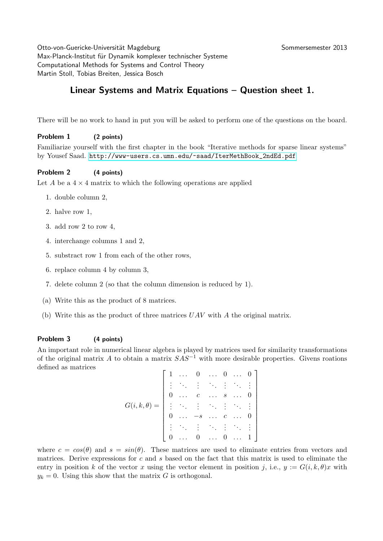Otto-von-Guericke-Universität Magdeburg Sommersemester 2013 Max-Planck-Institut für Dynamik komplexer technischer Systeme Computational Methods for Systems and Control Theory Martin Stoll, Tobias Breiten, Jessica Bosch

# Linear Systems and Matrix Equations – Question sheet 1.

There will be no work to hand in put you will be asked to perform one of the questions on the board.

## Problem 1 (2 points)

Familiarize yourself with the first chapter in the book "Iterative methods for sparse linear systems" by Yousef Saad. [http://www-users.cs.umn.edu/~saad/IterMethBook\\_2ndEd.pdf](http://www-users.cs.umn.edu/~saad/IterMethBook_2ndEd.pdf)

## Problem 2 (4 points)

Let A be a  $4 \times 4$  matrix to which the following operations are applied

- 1. double column 2,
- 2. halve row 1,
- 3. add row 2 to row 4,
- 4. interchange columns 1 and 2,
- 5. substract row 1 from each of the other rows,
- 6. replace column 4 by column 3,
- 7. delete column 2 (so that the column dimension is reduced by 1).
- (a) Write this as the product of 8 matrices.
- (b) Write this as the product of three matrices  $UAV$  with A the original matrix.

## Problem 3 (4 points)

An important role in numerical linear algebra is played by matrices used for similarity transformations of the original matrix A to obtain a matrix  $SAS^{-1}$  with more desirable properties. Givens roations defined as matrices

|                                        |          | $\ldots$                       | $\overline{0}$              |                        |                  | $\cdots$ 0 $\cdots$ 0 ]           |                                              |  |
|----------------------------------------|----------|--------------------------------|-----------------------------|------------------------|------------------|-----------------------------------|----------------------------------------------|--|
|                                        |          |                                | 8. 生成主义主 <mark>。</mark>     |                        |                  |                                   |                                              |  |
|                                        |          | $\langle\cdot\, ,\cdot\rangle$ | $\mathcal{C}_{\mathcal{C}}$ | $\sim$ 0.00 $\,$       | $\boldsymbol{s}$ | $\langle \ldots \rangle$          | $\overline{\phantom{0}}$                     |  |
| $G(i, k, \theta)$<br>$\!\!\!=\!\!\!\!$ | $\vdots$ |                                | <b>医生发生发明</b>               |                        |                  |                                   |                                              |  |
|                                        |          |                                | $-s$                        | $\ddot{\phantom{1}}$ . |                  | $\langle\cdot\,,\,\cdot\,\rangle$ | $\overline{\phantom{a}}$<br>$\boldsymbol{0}$ |  |
|                                        |          |                                | (主席主席目)                     |                        |                  |                                   |                                              |  |
|                                        |          |                                | $\boldsymbol{0}$            | $\sim$ 144             | $\theta$         | $\cdots$ 1                        |                                              |  |

where  $c = cos(\theta)$  and  $s = sin(\theta)$ . These matrices are used to eliminate entries from vectors and matrices. Derive expressions for c and s based on the fact that this matrix is used to eliminate the entry in position k of the vector x using the vector element in position j, i.e.,  $y := G(i, k, \theta)x$  with  $y_k = 0$ . Using this show that the matrix G is orthogonal.